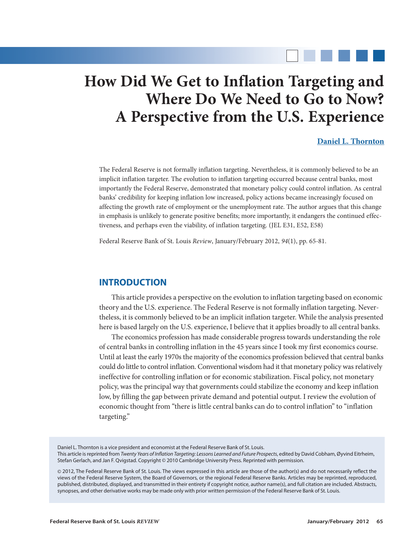# <span id="page-0-0"></span>**How Did We Get to Inflation Targeting and Where Do We Need to Go to Now? A Perspective from the U.S. Experience**

**Daniel L. [Thornton](#page-18-0)**

The Federal Reserve is not formally inflation targeting. Nevertheless, it is commonly believed to be an implicit inflation targeter. The evolution to inflation targeting occurred because central banks, most importantly the Federal Reserve, demonstrated that monetary policy could control inflation. As central banks' credibility for keeping inflation low increased, policy actions became increasingly focused on affecting the growth rate of employment or the unemployment rate. The author argues that this change in emphasis is unlikely to generate positive benefits; more importantly, it endangers the continued effectiveness, and perhaps even the viability, of inflation targeting. (JEL E31, E52, E58)

Federal Reserve Bank of St. Louis *Review*, January/February 2012, *94*(1), pp. 65-81.

# **INTRODUCTION**

This article provides a perspective on the evolution to inflation targeting based on economic theory and the U.S. experience. The Federal Reserve is not formally inflation targeting. Nevertheless, it is commonly believed to be an implicit inflation targeter. While the analysis presented here is based largely on the U.S. experience, I believe that it applies broadly to all central banks.

The economics profession has made considerable progress towards understanding the role of central banks in controlling inflation in the 45 years since I took my first economics course. Until at least the early 1970s the majority of the economics profession believed that central banks could do little to control inflation. Conventional wisdom had it that monetary policy was relatively ineffective for controlling inflation or for economic stabilization. Fiscal policy, not monetary policy, was the principal way that governments could stabilize the economy and keep inflation low, by filling the gap between private demand and potential output. I review the evolution of economic thought from "there is little central banks can do to control inflation" to "inflation targeting."

Daniel L. Thornton is a vice president and economist at the Federal Reserve Bank of St. Louis.

This article isreprinted from *Twenty Years of Inflation Targeting: Lessons Learned and Future Prospects*, edited by David Cobham, Øyvind Eitrheim, Stefan Gerlach, and Jan F. Qvigstad. Copyright © 2010 Cambridge University Press. Reprinted with permission.

© 2012, The Federal Reserve Bank of St. Louis. The views expressed in this article are those of the author(s) and do not necessarily reflect the views of the Federal Reserve System, the Board of Governors, or the regional Federal Reserve Banks. Articles may be reprinted, reproduced, published, distributed, displayed, and transmitted in their entirety if copyright notice, author name(s), and full citation are included. Abstracts, synopses, and other derivative works may be made only with prior written permission of the Federal Reserve Bank of St. Louis.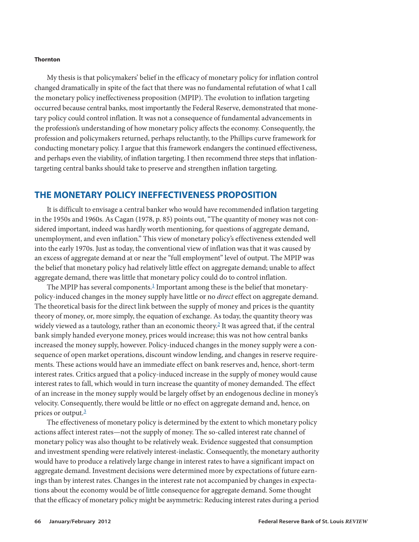<span id="page-1-0"></span>My thesis is that policymakers' belief in the efficacy of monetary policy for inflation control changed dramatically in spite of the fact that there was no fundamental refutation of what I call the monetary policy ineffectiveness proposition (MPIP). The evolution to inflation targeting occurred because central banks, most importantly the Federal Reserve, demonstrated that monetary policy could control inflation. It was not a consequence of fundamental advancements in the profession's understanding of how monetary policy affects the economy. Consequently, the profession and policymakers returned, perhaps reluctantly, to the Phillips curve framework for conducting monetary policy. I argue that this framework endangers the continued effectiveness, and perhaps even the viability, of inflation targeting. I then recommend three steps that inflationtargeting central banks should take to preserve and strengthen inflation targeting.

# **THE MONETARY POLICY INEFFECTIVENESS PROPOSITION**

It is difficult to envisage a central banker who would have recommended inflation targeting in the 1950s and 1960s. As Cagan (1978, p. 85) points out, "The quantity of money was not considered important, indeed was hardly worth mentioning, for questions of aggregate demand, unemployment, and even inflation." This view of monetary policy's effectiveness extended well into the early 1970s. Just as today, the conventional view of inflation was that it was caused by an excess of aggregate demand at or near the "full employment" level of output. The MPIP was the belief that monetary policy had relatively little effect on aggregate demand; unable to affect aggregate demand, there was little that [m](#page-11-0)onetary policy could do to control inflation.

The MPIP has several components. $\frac{1}{2}$  Important among these is the belief that monetarypolicy-induced changes in the money supply have little or no *direct* effect on aggregate demand. The theoretical basis for the direct link between the supply of money and prices is the quantity theory of money, or, more simply, the equation of exchange. [As](#page-11-0) today, the quantity theory was widely viewed as a tautology, rather than an economic theory. <sup>2</sup> It was agreed that, if the central bank simply handed everyone money, prices would increase; this was not how central banks increased the money supply, however. Policy-induced changes in the money supply were a consequence of open market operations, discount window lending, and changes in reserve requirements. These actions would have an immediate effect on bank reserves and, hence, short-term interest rates. Critics argued that a policy-induced increase in the supply of money would cause interest rates to fall, which would in turn increase the quantity of money demanded. The effect of an increase in the money supply would be largely offset by an endogenous decline in money's velocity. Conse[que](#page-11-0)ntly, there would be little or no effect on aggregate demand and, hence, on prices or output.<sup>3</sup>

The effectiveness of monetary policy is determined by the extent to which monetary policy actions affect interest rates—not the supply of money. The so-called interest rate channel of monetary policy was also thought to be relatively weak. Evidence suggested that consumption and investment spending were relatively interest-inelastic. Consequently, the monetary authority would have to produce a relatively large change in interest rates to have a significant impact on aggregate demand. Investment decisions were determined more by expectations of future earnings than by interest rates. Changes in the interest rate not accompanied by changes in expectations about the economy would be of little consequence for aggregate demand. Some thought that the efficacy of monetary policy might be asymmetric: Reducing interest rates during a period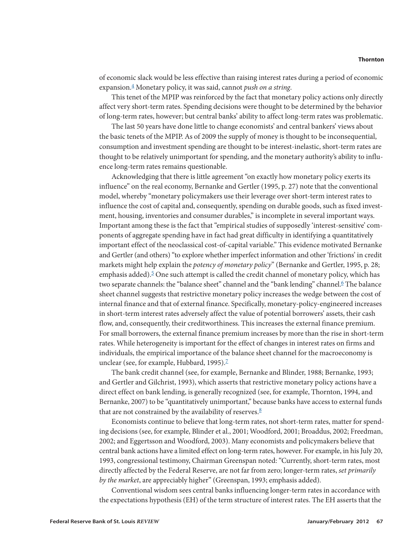<span id="page-2-0"></span>of econo[mic](#page-11-0) slack would be less effective than raising interest rates during a period of economic expansion. <sup>4</sup> Monetary policy, it was said, cannot *push on a string*.

This tenet of the MPIP was reinforced by the fact that monetary policy actions only directly affect very short-term rates. Spending decisions were thought to be determined by the behavior of long-term rates, however; but central banks' ability to affect long-term rates was problematic.

The last 50 years have done little to change economists' and central bankers' views about the basic tenets of the MPIP. As of 2009 the supply of money is thought to be inconsequential, consumption and investment spending are thought to be interest-inelastic, short-term rates are thought to be relatively unimportant for spending, and the monetary authority's ability to influence long-term rates remains questionable.

Acknowledging that there is little agreement "on exactly how monetary policy exerts its influence" on the real economy, Bernanke and Gertler (1995, p. 27) note that the conventional model, whereby "monetary policymakers use their leverage over short-term interest rates to influence the cost of capital and, consequently, spending on durable goods, such as fixed investment, housing, inventories and consumer durables," is incomplete in several important ways. Important among these is the fact that "empirical studies of supposedly 'interest-sensitive' components of aggregate spending have in fact had great difficulty in identifying a quantitatively important effect of the neoclassical cost-of-capital variable." This evidence motivated Bernanke and Gertler (and others) "to explore whether imperfect information and other 'frictions' in credit markets might h[elp](#page-11-0) explain the *potency of monetary policy*" (Bernanke and Gertler, 1995, p. 28; emphasis added).<sup>5</sup> One such attempt is called the credit channel of monetary pol[icy](#page-11-0), which has two separate channels: the "balance sheet" channel and the "bank lending" channel.<sup>6</sup> The balance sheet channel suggests that restrictive monetary policy increases the wedge between the cost of internal finance and that of external finance. Specifically, monetary-policy-engineered increases in short-term interest rates adversely affect the value of potential borrowers' assets, their cash flow, and, consequently, their creditworthiness. This increases the external finance premium. For small borrowers, the external finance premium increases by more than the rise in short-term rates. While heterogeneity is important for the effect of changes in interest rates on firms and individuals, the empirical importance of t[he](#page-11-0) balance sheet channel for the macroeconomy is unclear (see, for example, Hubbard, 1995).<sup>7</sup>

The bank credit channel (see, for example, Bernanke and Blinder, 1988; Bernanke, 1993; and Gertler and Gilchrist, 1993), which asserts that restrictive monetary policy actions have a direct effect on bank lending, is generally recognized (see, for example, Thornton, 1994, and Bernanke, 2007) to be "quantitatively unimportant," b[eca](#page-12-0)use banks have access to external funds that are not constrained by the availability of reserves.<sup>8</sup>

Economists continue to believe that long-term rates, not short-term rates, matter for spending decisions (see, for example, Blinder et al., 2001; Woodford, 2001; Broaddus, 2002; Freedman, 2002; and Eggertsson and Woodford, 2003). Many economists and policymakers believe that central bank actions have a limited effect on long-term rates, however. For example, in his July 20, 1993, congressional testimony, Chairman Greenspan noted: "Currently, short-term rates, most directly affected by the Federal Reserve, are not far from zero; longer-term rates, *set primarily by the market*, are appreciably higher" (Greenspan, 1993; emphasis added).

Conventional wisdom sees central banks influencing longer-term rates in accordance with the expectations hypothesis (EH) of the term structure of interest rates. The EH asserts that the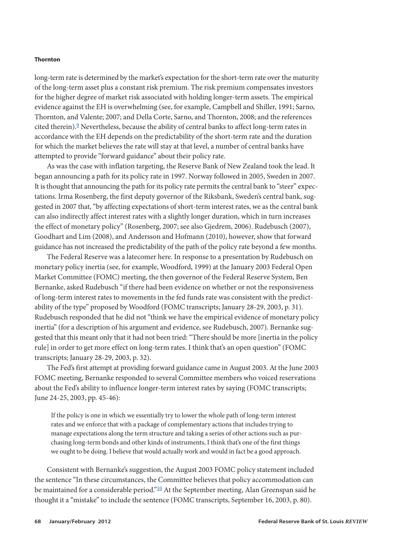<span id="page-3-0"></span>long-term rate is determined by the market's expectation for the short-term rate over the maturity of the long-term asset plus a constant risk premium. The risk premium compensates investors for the higher degree of market risk associated with holding longer-term assets. The empirical evidence against the EH is overwhelming (see, for example, Campbell and Shiller, 1991; Sarno, Thornton, an[d](#page-12-0) Valente; 2007; and Della Corte, Sarno, and Thornton, 2008; and the references cited therein). <sup>9</sup> Nevertheless, because the ability of central banks to affect long-term rates in accordance with the EH depends on the predictability of the short-term rate and the duration for which the market believes the rate will stay at that level, a number of central banks have attempted to provide "forward guidance" about their policy rate.

As was the case with inflation targeting, the Reserve Bank of New Zealand took the lead. It began announcing a path for its policy rate in 1997. Norway followed in 2005, Sweden in 2007. It is thought that announcing the path for its policy rate permits the central bank to "steer" expectations. Irma Rosenberg, the first deputy governor of the Riksbank, Sweden's central bank, suggested in 2007 that,"by affecting expectations of short-term interest rates, we as the central bank can also indirectly affect interest rates with a slightly longer duration, which in turn increases the effect of monetary policy" (Rosenberg, 2007; see also Gjedrem, 2006). Rudebusch (2007), Goodhart and Lim (2008), and Andersson and Hofmann (2010), however, show that forward guidance has not increased the predictability of the path of the policy rate beyond a few months.

The Federal Reserve was a latecomer here. In response to a presentation by Rudebusch on monetary policy inertia (see, for example, Woodford, 1999) at the January 2003 Federal Open Market Committee (FOMC) meeting, the then governor of the Federal Reserve System, Ben Bernanke, asked Rudebusch "if there had been evidence on whether or not the responsiveness of long-term interest rates to movements in the fed funds rate was consistent with the predictability of the type" proposed by Woodford (FOMC transcripts; January 28-29, 2003, p. 31). Rudebusch responded that he did not "think we have the empirical evidence of monetary policy inertia" (for a description of his argument and evidence, see Rudebusch, 2007). Bernanke suggested that this meant only that it had not been tried:"There should be more [inertia in the policy rule] in order to get more effect on long-term rates. I think that's an open question" (FOMC transcripts; January 28-29, 2003, p. 32).

The Fed's first attempt at providing forward guidance came in August 2003. At the June 2003 FOMC meeting, Bernanke responded to several Committee members who voiced reservations about the Fed's ability to influence longer-term interest rates by saying (FOMC transcripts; June 24-25, 2003, pp. 45-46):

If the policy is one in which we essentially try to lower the whole path of long-term interest rates and we enforce that with a package of complementary actions that includes trying to manage expectations along the term structure and taking a series of other actions such as purchasing long-term bonds and other kinds of instruments, I think that's one of the first things we ought to be doing. I believe that would actually work and would in fact be a good approach.

Consistent with Bernanke's suggestion, the August 2003 FOMC policy statement included the sentence "In these circumstances, the [Co](#page-12-0)mmittee believes that policy accommodation can be maintained for a considerable period."<sup>10</sup> At the September meeting, Alan Greenspan said he thought it a "mistake" to include the sentence (FOMC transcripts, September 16, 2003, p. 80).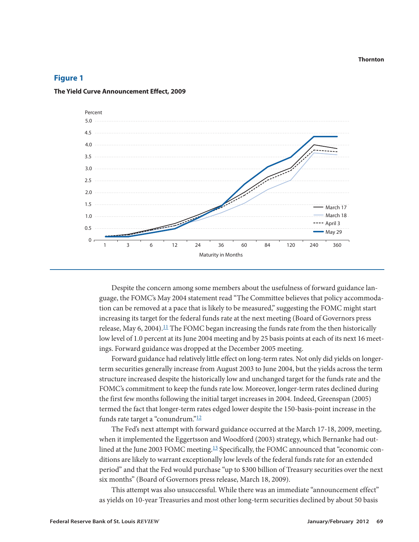## <span id="page-4-0"></span>**Figure 1**

#### **The Yield Curve Announcement Effect, 2009**



Despite the concern among some members about the usefulness of forward guidance language, the FOMC's May 2004 statement read "The Committee believes that policy accommodation can be removed at a pace that is likely to be measured," suggesting the FOMC might start increasing its target f[or](#page-12-0) the federal funds rate at the next meeting (Board of Governors press release, May 6, 2004).<sup>11</sup> The FOMC began increasing the funds rate from the then historically low level of 1.0 percent at its June 2004 meeting and by 25 basis points at each of its next 16 meetings. Forward guidance was dropped at the December 2005 meeting.

Forward guidance had relatively little effect on long-term rates. Not only did yields on longerterm securities generally increase from August 2003 to June 2004, but the yields across the term structure increased despite the historically low and unchanged target for the funds rate and the FOMC's commitment to keep the funds rate low. Moreover, longer-term rates declined during the first few months following the initial target increases in 2004. Indeed, Greenspan (2005) termed the fact that longer-term [rat](#page-12-0)es edged lower despite the 150-basis-point increase in the funds rate target a "conundrum."<sup>12</sup>

The Fed's next attempt with forward guidance occurred at the March 17-18, 2009, meeting, when it implemented the Eggertsson [and](#page-12-0) Woodford (2003) strategy, which Bernanke had outlined at the June 2003 FOMC meeting.<sup>13</sup> Specifically, the FOMC announced that "economic conditions are likely to warrant exceptionally low levels of the federal funds rate for an extended period" and that the Fed would purchase "up to \$300 billion of Treasury securities over the next six months" (Board of Governors press release, March 18, 2009).

This attempt was also unsuccessful. While there was an immediate "announcement effect" as yields on 10-year Treasuries and most other long-term securities declined by about 50 basis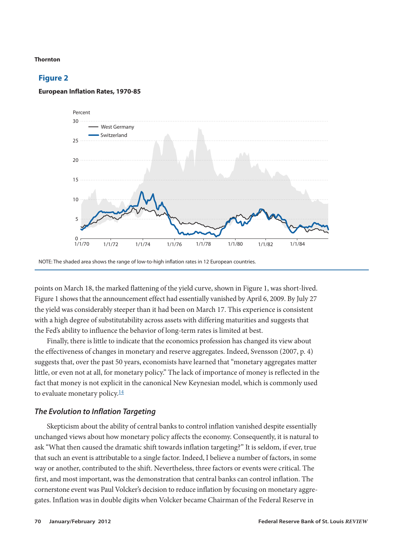#### <span id="page-5-0"></span>**Figure 2**

#### **European Inflation Rates, 1970-85**



NOTE: The shaded area shows the range of low-to-high inflation rates in 12 European countries.

points on March 18, the marked flattening of the yield curve, shown in Figure 1, was short-lived. Figure 1 shows that the announcement effect had essentially vanished by April 6, 2009. By July 27 the yield was considerably steeper than it had been on March 17. This experience is consistent with a high degree of substitutability across assets with differing maturities and suggests that the Fed's ability to influence the behavior of long-term rates is limited at best.

Finally, there is little to indicate that the economics profession has changed its view about the effectiveness of changes in monetary and reserve aggregates. Indeed, Svensson (2007, p. 4) suggests that, over the past 50 years, economists have learned that "monetary aggregates matter little, or even not at all, for monetary policy." The lack of importance of money is reflected in the fact that money is not expli[cit](#page-12-0) in the canonical New Keynesian model, which is commonly used to evaluate monetary policy.<sup>14</sup>

## *The Evolution to Inflation Targeting*

Skepticism about the ability of central banks to control inflation vanished despite essentially unchanged views about how monetary policy affects the economy. Consequently, it is natural to ask "What then caused the dramatic shift towards inflation targeting?" It is seldom, if ever, true that such an event is attributable to a single factor. Indeed, I believe a number of factors, in some way or another, contributed to the shift. Nevertheless, three factors or events were critical. The first, and most important, was the demonstration that central banks can control inflation. The cornerstone event was Paul Volcker's decision to reduce inflation by focusing on monetary aggregates. Inflation was in double digits when Volcker became Chairman of the Federal Reserve in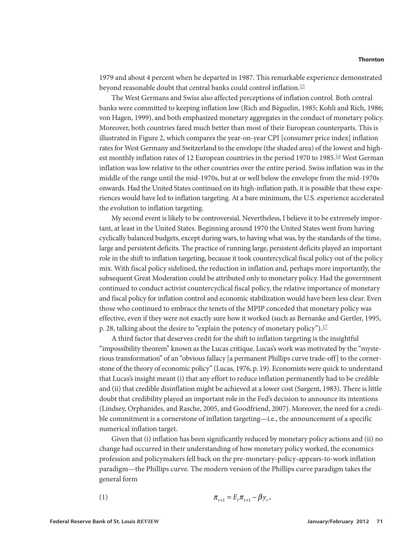<span id="page-6-0"></span>1979 and about 4 percent when he departed in 1987. This remarka[ble](#page-12-0) experience demonstrated beyond reasonable doubt that central banks could control inflation.<sup>15</sup>

The West Germans and Swiss also affected perceptions of inflation control. Both central banks were committed to keeping inflation low (Rich and Bèguelin, 1985; Kohli and Rich, 1986; von Hagen, 1999), and both emphasized monetary aggregates in the conduct of monetary policy. Moreover, both countries fared much better than most of their European counterparts. This is illustrated in Figure 2, which compares the year-on-year CPI [consumer price index] inflation rates for West Germany and Switzerland to the envelope (the shaded area) of the [low](#page-12-0)est and highest monthly inflation rates of 12 European countries in the period 1970 to 1985.<sup>16</sup> West German inflation was low relative to the other countries over the entire period. Swiss inflation was in the middle of the range until the mid-1970s, but at or well below the envelope from the mid-1970s onwards. Had the United States continued on its high-inflation path, it is possible that these experiences would have led to inflation targeting. At a bare minimum, the U.S. experience accelerated the evolution to inflation targeting.

My second event is likely to be controversial. Nevertheless, I believe it to be extremely important, at least in the United States. Beginning around 1970 the United States went from having cyclically balanced budgets, except during wars, to having what was, by the standards of the time, large and persistent deficits. The practice ofrunning large, persistent deficits played an important role in the shift to inflation targeting, because it took countercyclical fiscal policy out of the policy mix. With fiscal policy sidelined, the reduction in inflation and, perhaps more importantly, the subsequent Great Moderation could be attributed only to monetary policy. Had the government continued to conduct activist countercyclical fiscal policy, the relative importance of monetary and fiscal policy forinflation control and economic stabilization would have been less clear. Even those who continued to embrace the tenets of the MPIP conceded that monetary policy was effective, even if they were not exactly sure how it worked (such as Bernan[ke](#page-12-0) and Gertler, 1995, p. 28, talking about the desire to "explain the potency of monetary policy").<sup>17</sup>

A third factor that deserves credit for the shift to inflation targeting is the insightful "impossibility theorem" known as the Lucas critique. Lucas's work was motivated by the "mysterious transformation" of an "obvious fallacy [a permanent Phillips curve trade-off] to the cornerstone of the theory of economic policy" (Lucas, 1976, p. 19). Economists were quick to understand that Lucas's insight meant (i) that any effort to reduce inflation permanently had to be credible and (ii) that credible disinflation might be achieved at a lower cost (Sargent, 1983). There is little doubt that credibility played an important role in the Fed's decision to announce its intentions (Lindsey, Orphanides, and Rasche, 2005, and Goodfriend, 2007). Moreover, the need for a credible commitment is a cornerstone of inflation targeting—i.e., the announcement of a specific numerical inflation target.

Given that (i) inflation has been significantly reduced by monetary policy actions and (ii) no change had occurred in their understanding of how monetary policy worked, the economics profession and policymakers fell back on the pre-monetary-policy-appears-to-work inflation paradigm—the Phillips curve. The modern version of the Phillips curve paradigm takes the general form

(1) 
$$
\pi_{t+1} = E_t \pi_{t+1} - \beta y_t,
$$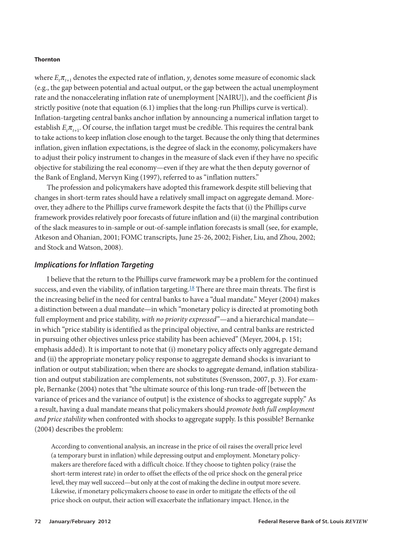<span id="page-7-0"></span>where  $E_{t}\boldsymbol{\pi}_{t+1}$  denotes the expected rate of inflation,  $y_{t}$  denotes some measure of economic slack (e.g., the gap between potential and actual output, or the gap between the actual unemployment rate and the nonaccelerating inflation rate of unemployment [NAIRU]), and the coefficient  $\beta$  is strictly positive (note that equation (6.1) implies that the long-run Phillips curve is vertical). Inflation-targeting central banks anchor inflation by announcing a numerical inflation target to establish  $E_t \pi_{t+1}$ . Of course, the inflation target must be credible. This requires the central bank to take actions to keep inflation close enough to the target. Because the only thing that determines inflation, given inflation expectations, is the degree of slack in the economy, policymakers have to adjust their policy instrument to changes in the measure of slack even if they have no specific objective for stabilizing the real economy—even if they are what the then deputy governor of the Bank of England, Mervyn King (1997), referred to as "inflation nutters."

The profession and policymakers have adopted this framework despite still believing that changes in short-term rates should have a relatively small impact on aggregate demand. Moreover, they adhere to the Phillips curve framework despite the facts that (i) the Phillips curve framework provides relatively poor forecasts of future inflation and (ii) the marginal contribution of the slack measures to in-sample or out-of-sample inflation forecasts is small (see, for example, Atkeson and Ohanian, 2001; FOMC transcripts, June 25-26, 2002; Fisher, Liu, and Zhou, 2002; and Stock and Watson, 2008).

#### *Implications for Inflation Targeting*

I believe that the return to the Phillips curve fra[mew](#page-12-0)ork may be a problem for the continued success, and even the viability, of inflation targeting.  $18$  There are three main threats. The first is the increasing belief in the need for central banks to have a "dual mandate." Meyer (2004) makes a distinction between a dual mandate—in which "monetary policy is directed at promoting both full employment and price stability, *with no priority expressed*"—and a hierarchical mandate in which "price stability is identified as the principal objective, and central banks are restricted in pursuing other objectives unless price stability has been achieved" (Meyer, 2004, p. 151; emphasis added). It is important to note that (i) monetary policy affects only aggregate demand and (ii) the appropriate monetary policy response to aggregate demand shocks is invariant to inflation or output stabilization; when there are shocks to aggregate demand, inflation stabilization and output stabilization are complements, not substitutes (Svensson, 2007, p. 3). For example, Bernanke (2004) notes that "the ultimate source of this long-run trade-off [between the variance of prices and the variance of output] is the existence of shocks to aggregate supply." As a result, having a dual mandate means that policymakers should *promote both full employment and price stability* when confronted with shocks to aggregate supply. Is this possible? Bernanke (2004) describes the problem:

According to conventional analysis, an increase in the price of oil raises the overall price level (a temporary burst in inflation) while depressing output and employment. Monetary policymakers are therefore faced with a difficult choice. If they choose to tighten policy (raise the short-term interest rate) in order to offset the effects of the oil price shock on the general price level, they may well succeed—but only at the cost of making the decline in output more severe. Likewise, if monetary policymakers choose to ease in order to mitigate the effects of the oil price shock on output, their action will exacerbate the inflationary impact. Hence, in the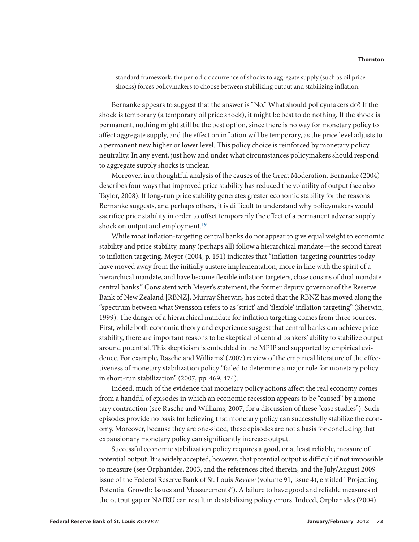<span id="page-8-0"></span>standard framework, the periodic occurrence of shocks to aggregate supply (such as oil price shocks) forces policymakers to choose between stabilizing output and stabilizing inflation.

Bernanke appears to suggest that the answer is "No." What should policymakers do? If the shock is temporary (a temporary oil price shock), it might be best to do nothing. If the shock is permanent, nothing might still be the best option, since there is no way for monetary policy to affect aggregate supply, and the effect on inflation will be temporary, as the price level adjusts to a permanent new higher or lower level. This policy choice is reinforced by monetary policy neutrality. In any event, just how and under what circumstances policymakers should respond to aggregate supply shocks is unclear.

Moreover, in a thoughtful analysis of the causes of the Great Moderation, Bernanke (2004) describes four ways that improved price stability has reduced the volatility of output (see also Taylor, 2008). If long-run price stability generates greater economic stability for the reasons Bernanke suggests, and perhaps others, it is difficult to understand why policymakers would sacrifice price stability in order to [off](#page-12-0)set temporarily the effect of a permanent adverse supply shock on output and employment.<sup>19</sup>

While most inflation-targeting central banks do not appear to give equal weight to economic stability and price stability, many (perhaps all) follow a hierarchical mandate—the second threat to inflation targeting. Meyer (2004, p. 151) indicates that "inflation-targeting countries today have moved away from the initially austere implementation, more in line with the spirit of a hierarchical mandate, and have become flexible inflation targeters, close cousins of dual mandate central banks." Consistent with Meyer's statement, the former deputy governor of the Reserve Bank of New Zealand [RBNZ], Murray Sherwin, has noted that the RBNZ has moved along the "spectrum between what Svensson refers to as 'strict' and 'flexible' inflation targeting" (Sherwin, 1999). The danger of a hierarchical mandate for inflation targeting comes from three sources. First, while both economic theory and experience suggest that central banks can achieve price stability, there are important reasons to be skeptical of central bankers' ability to stabilize output around potential. This skepticism is embedded in the MPIP and supported by empirical evidence. For example, Rasche and Williams' (2007) review of the empirical literature of the effectiveness of monetary stabilization policy "failed to determine a major role for monetary policy in short-run stabilization" (2007, pp. 469, 474).

Indeed, much of the evidence that monetary policy actions affect the real economy comes from a handful of episodes in which an economic recession appears to be "caused" by a monetary contraction (see Rasche and Williams, 2007, for a discussion of these "case studies"). Such episodes provide no basis for believing that monetary policy can successfully stabilize the economy. Moreover, because they are one-sided, these episodes are not a basis for concluding that expansionary monetary policy can significantly increase output.

Successful economic stabilization policy requires a good, or at least reliable, measure of potential output. It is widely accepted, however, that potential output is difficult if not impossible to measure (see Orphanides, 2003, and the references cited therein, and the July/August 2009 issue of the Federal Reserve Bank of St. Louis *Review* (volume 91, issue 4), entitled "Projecting Potential Growth: Issues and Measurements"). A failure to have good and reliable measures of the output gap or NAIRU can result in destabilizing policy errors. Indeed, Orphanides (2004)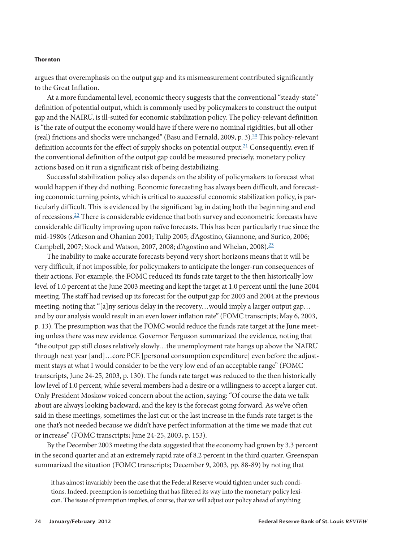<span id="page-9-0"></span>argues that overemphasis on the output gap and its mismeasurement contributed significantly to the Great Inflation.

At a more fundamental level, economic theory suggests that the conventional "steady-state" definition of potential output, which is commonly used by policymakers to construct the output gap and the NAIRU, is ill-suited for economic stabilization policy. The policy-relevant definition is "the rate of output the economy would have if there were no nominal r[igid](#page-12-0)ities, but all other (real) frictions and shocks were unchanged" (Basu and Fernald, 2009, p. [3\)](#page-12-0).<sup>20</sup> This policy-relevant definition accounts for the effect of supply shocks on potential output.<sup>21</sup> Consequently, even if the conventional definition of the output gap could be measured precisely, monetary policy actions based on it run a significant risk of being destabilizing.

Successful stabilization policy also depends on the ability of policymakers to forecast what would happen if they did nothing. Economic forecasting has always been difficult, and forecasting economic turning points, which is critical to successful economic stabilization policy, is particularly diff[icu](#page-12-0)lt. This is evidenced by the significant lag in dating both the beginning and end of recessions.<sup>22</sup> There is considerable evidence that both survey and econometric forecasts have considerable difficulty improving upon naïve forecasts. This has been particularly true since the mid-1980s (Atkeson and Ohanian 2001; Tulip 2005; d'Agostino, Giannone, and [Su](#page-12-0)rico, 2006; Campbell, 2007; Stock and Watson, 2007, 2008; d'Agostino and Whelan, 2008). 23

The inability to make accurate forecasts beyond very short horizons means that it will be very difficult, if not impossible, for policymakers to anticipate the longer-run consequences of their actions. For example, the FOMC reduced its funds rate target to the then historically low level of 1.0 percent at the June 2003 meeting and kept the target at 1.0 percent until the June 2004 meeting. The staff had revised up its forecast for the output gap for 2003 and 2004 at the previous meeting, noting that "[a]ny serious delay in the recovery…would imply a larger output gap… and by our analysis would result in an even lowerinflation rate" (FOMC transcripts; May 6, 2003, p. 13). The presumption was that the FOMC would reduce the funds rate target at the June meeting unless there was new evidence. Governor Ferguson summarized the evidence, noting that "the output gap still closes relatively slowly…the unemployment rate hangs up above the NAIRU through next year [and]…core PCE [personal consumption expenditure] even before the adjustment stays at what I would consider to be the very low end of an acceptable range" (FOMC transcripts, June 24-25, 2003, p. 130). The funds rate target was reduced to the then historically low level of 1.0 percent, while several members had a desire or a willingness to accept a larger cut. Only President Moskow voiced concern about the action, saying: "Of course the data we talk about are always looking backward, and the key is the forecast going forward. As we've often said in these meetings, sometimes the last cut or the last increase in the funds rate target is the one that's not needed because we didn't have perfect information at the time we made that cut or increase" (FOMC transcripts; June 24-25, 2003, p. 153).

By the December 2003 meeting the data suggested that the economy had grown by 3.3 percent in the second quarter and at an extremely rapid rate of 8.2 percent in the third quarter. Greenspan summarized the situation (FOMC transcripts; December 9, 2003, pp. 88-89) by noting that

it has almost invariably been the case that the Federal Reserve would tighten under such conditions. Indeed, preemption is something that has filtered its way into the monetary policy lexicon. The issue of preemption implies, of course, that we will adjust our policy ahead of anything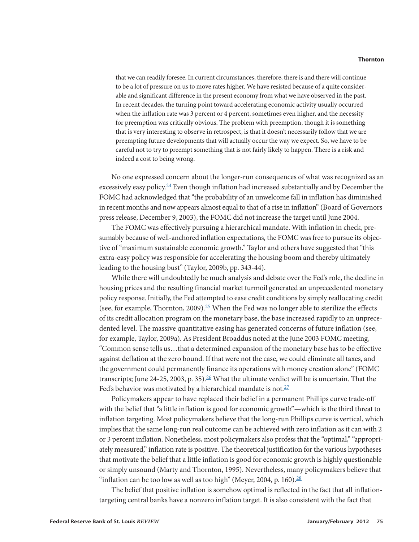<span id="page-10-0"></span>that we can readily foresee. In current circumstances, therefore, there is and there will continue to be a lot of pressure on us to move rates higher. We have resisted because of a quite considerable and significant difference in the present economy from what we have observed in the past. In recent decades, the turning point toward accelerating economic activity usually occurred when the inflation rate was 3 percent or 4 percent, sometimes even higher, and the necessity for preemption was critically obvious. The problem with preemption, though it is something that is very interesting to observe in retrospect, is that it doesn't necessarily follow that we are preempting future developments that will actually occur the way we expect. So, we have to be careful not to try to preempt something that is not fairly likely to happen. There is a risk and indeed a cost to being wrong.

No one expressed [con](#page-13-0)cern about the longer-run consequences of what was recognized as an excessively easy policy.<sup>24</sup> Even though inflation had increased substantially and by December the FOMC had acknowledged that"the probability of an unwelcome fall in inflation has diminished in recent months and now appears almost equal to that of a rise in inflation" (Board of Governors press release, December 9, 2003), the FOMC did not increase the target until June 2004.

The FOMC was effectively pursuing a hierarchical mandate. With inflation in check, presumably because of well-anchored inflation expectations, the FOMC was free to pursue its objective of "maximum sustainable economic growth." Taylor and others have suggested that "this extra-easy policy was responsible for accelerating the housing boom and thereby ultimately leading to the housing bust" (Taylor, 2009b, pp. 343-44).

While there will undoubtedly be much analysis and debate over the Fed's role, the decline in housing prices and the resulting financial market turmoil generated an unprecedented monetary policy response. Initially, the Fed att[em](#page-13-0)pted to ease credit conditions by simply reallocating credit (see, for example, Thornton, 2009). <sup>25</sup> When the Fed was no longer able to sterilize the effects of its credit allocation program on the monetary base, the base increased rapidly to an unprecedented level. The massive quantitative easing has generated concerns of future inflation (see, for example, Taylor, 2009a). As President Broaddus noted at the June 2003 FOMC meeting, "Common sense tells us…that a determined expansion of the monetary base has to be effective against deflation at the zero bound. If that were not the case, we could eliminate all taxes, and the government could permanently [fin](#page-13-0)ance its operations with money creation alone" (FOMC transcripts; June 24-25, 2003, p. 35). <sup>26</sup> What the ultimate verd[ict](#page-13-0) will be is uncertain. That the Fed's behavior was motivated by a hierarchical mandate is not.<sup>27</sup>

Policymakers appear to have replaced their belief in a permanent Phillips curve trade-off with the belief that "a little inflation is good for economic growth"—which is the third threat to inflation targeting. Most policymakers believe that the long-run Phillips curve is vertical, which implies that the same long-run real outcome can be achieved with zero inflation as it can with 2 or 3 percent inflation. Nonetheless, most policymakers also profess that the "optimal," "appropriately measured," inflation rate is positive. The theoretical justification for the various hypotheses that motivate the belief that a little inflation is good for economic growth is highly questionable or simply unsound (Marty and Thornton, 1995). Nevertheless, m[any](#page-13-0) policymakers believe that "inflation can be too low as well as too high" (Meyer, 2004, p. 160). $\frac{28}{3}$ 

The belief that positive inflation is somehow optimal is reflected in the fact that all inflationtargeting central banks have a nonzero inflation target. It is also consistent with the fact that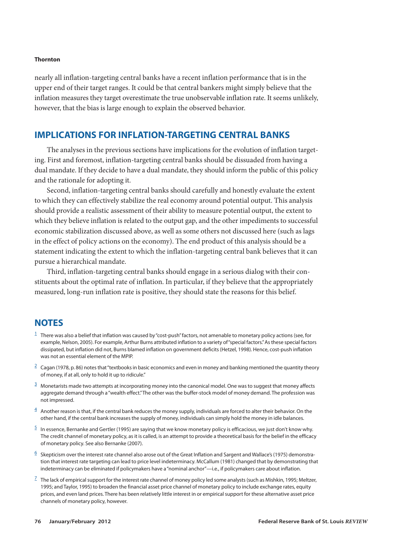<span id="page-11-0"></span>nearly all inflation-targeting central banks have a recent inflation performance that is in the upper end of their target ranges. It could be that central bankers might simply believe that the inflation measures they target overestimate the true unobservable inflation rate. It seems unlikely, however, that the bias is large enough to explain the observed behavior.

# **IMPLICATIONS FOR INFLATION-TARGETING CENTRAL BANKS**

The analyses in the previous sections have implications for the evolution of inflation targeting. First and foremost, inflation-targeting central banks should be dissuaded from having a dual mandate. If they decide to have a dual mandate, they should inform the public of this policy and the rationale for adopting it.

Second, inflation-targeting central banks should carefully and honestly evaluate the extent to which they can effectively stabilize the real economy around potential output. This analysis should provide a realistic assessment of their ability to measure potential output, the extent to which they believe inflation is related to the output gap, and the other impediments to successful economic stabilization discussed above, as well as some others not discussed here (such as lags in the effect of policy actions on the economy). The end product of this analysis should be a statement indicating the extent to which the inflation-targeting central bank believes that it can pursue a hierarchical mandate.

Third, inflation-targeting central banks should engage in a serious dialog with their constituents about the optimal rate of inflation. In particular, if they believe that the appropriately measured, long-run inflation rate is positive, they should state the reasons for this belief.

# **[N](#page-1-0)OTES**

- $1$  There was also a belief that inflation was caused by "cost-push" factors, not amenable to monetary policy actions (see, for example, Nelson, 2005). For example, Arthur Burns attributed inflation to a variety of "special factors." As these special factors dissipated, but inflation did not, Burns blamed inflation on government deficits(Hetzel, 1998). Hence, cost-push inflation was not an essential element of the MPIP.
- $2 \text{ Cagan } (1978, p. 86)$  $2 \text{ Cagan } (1978, p. 86)$  notes that "textbooks in basic economics and even in money and banking mentioned the quantity theory of money, if at all, only to hold it up to ridicule."
- $3$  Monetarists made two attempts at incorporating money into the canonical model. One was to suggest that money affects aggregate demand through a"wealth effect."The other wasthe buffer-stock model of money demand. The profession was not impressed.
- $4$  Another reason is that, if the central bank reduces the money supply, individuals are forced to alter their behavior. On the other hand, if the central bank increasesthe supply of money, individuals can simply hold the money in idle balances.
- $5$  In essence, Bernanke and Gertler (1995) are saying that we know monetary policy is efficacious, we just don't know why. The credit channel of monetary policy, as it is called, is an attempt to provide a theoretical basis for the belief in the efficacy of monetary policy. See also Bernanke (2007).
- $6$  Skepticism over the interest rate channel also arose out of the Great Inflation and Sargent and Wallace's (1975) demonstration that interest rate targeting can lead to price level indeterminacy. McCallum (1981) changed that by demonstrating that indeterminacy can be eliminated if policymakers have a"nominal anchor"—i.e., if policymakers care about inflation.
- $^{\mathbb{Z}}$  The lack of empirical support for the interest rate channel of money policy led some analysts (such as Mishkin, 1995; Meltzer, 1995; and Taylor, 1995) to broaden the financial asset price channel of monetary policy to include exchange rates, equity prices, and even land prices. There has been relatively little interest in or empirical support for these alternative asset price channels of monetary policy, however.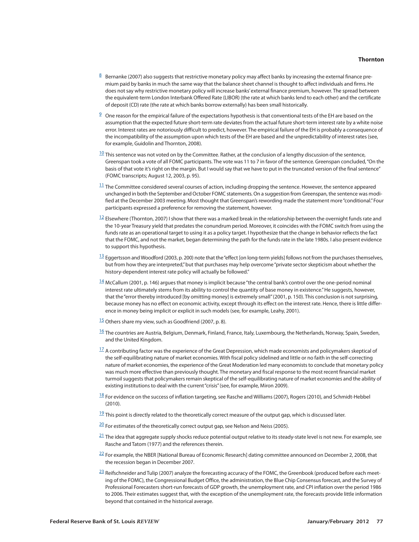- <span id="page-12-0"></span> $8$  Bernanke (2007) also suggests that restrictive monetary policy may affect banks by increasing the external finance premium paid by banksin much the same way that the balance sheet channel isthought to affect individuals and firms. He does not say why restrictive monetary policy will increase banks' external finance premium, however. The spread between the equivalent-term London Interbank Offered Rate (LIBOR) (the rate at which banks lend to each other) and the certificate of deposit (CD) rate (the rate at which banks borrow externally) has been small historically.
- $9\overline{2}$  $9\overline{2}$  One reason for the empirical failure of the expectations hypothesis is that conventional tests of the EH are based on the assumption that the expected future short-term rate deviates from the actual future short-term interest rate by a white noise error. Interest rates are notoriously difficult to predict, however. The empirical failure of the EH is probably a consequence of the incompatibility of the assumption upon which tests of the EH are based and the unpredictability of interest rates (see, for example, Guidolin and Thornton, 2008).
- $10$  This sentence was not voted on by the Committee. Rather, at the conclusion of a lengthy discussion of the sentence, Greenspan took a vote of all FOMC participants. The vote was 11 to 7 in favor of the sentence. Greenspan concluded,"On the basis of that vote it's right on the margin. But I would say that we have to put in the truncated version of the final sentence" (FOMC transcripts; August 12, 2003, p. 95).
- $11$  The Committee considered several courses of action, including dropping the sentence. However, the sentence appeared unchanged in both the September and October FOMC statements. On a suggestion from Greenspan, the sentence was modified at the December 2003 meeting. Most thought that Greenspan's rewording made the statement more "conditional." Four participants expressed a preference for removing the statement, however.
- $12$  Elsewhere (Thornton, 2007) I show that there was a marked break in the relationship between the overnight funds rate and the 10-year Treasury yield that predates the conundrum period. Moreover, it coincides with the FOMC switch from using the funds rate as an operational target to using it as a policy target. I hypothesize that the change in behavior reflects the fact that the FOMC, and not the market, began determining the path for the fundsrate in the late 1980s. I also present evidence to support this hypothesis.
- $13$  Eggertsson and Woodford (2003, p. 200) note that the "effect [on long-term yields] follows not from the purchases themselves, but from how they are interpreted," but that purchases may help overcome "private sector skepticism about whether the history-dependent interest rate policy will actually be followed."
- $14$  McCallum (2001, p. 146) argues that money is implicit because "the central bank's control over the one-period nominal interest rate ultimately stems from its ability to control the quantity of base money in existence."He suggests, however, that the"error thereby introduced [by omitting money] is extremely small"(2001, p. 150). This conclusion is notsurprising, because money has no effect on economic activity, except through its effect on the interest rate. Hence, there islittle difference in money being implicit or explicit in such models(see, for example, Leahy, 2001).
- $15$  Others share my view, such as Goodfriend (2007, p. 8).
- <sup>[16](#page-6-0)</sup> The countries are Austria, Belgium, Denmark, Finland, France, Italy, Luxembourg, the Netherlands, Norway, Spain, Sweden, and the United Kingdom.
- $17$  A contributing factor was the experience of the Great Depression, which made economists and policymakers skeptical of the self-equilibrating nature of market economies. With fiscal policy sidelined and little or no faith in the self-correcting nature of market economies, the experience of the Great Moderation led many economists to conclude that monetary policy was much more effective than previously thought. The monetary and fiscal response to the most recent financial market turmoil suggests that policymakers remain skeptical of the self-equilibrating nature of market economies and the ability of existing institutions to deal with the current "crisis" (see, for example, Miron 2009).
- $18$  For evidence on the success of inflation targeting, see Rasche and Williams (2007), Rogers (2010), and Schmidt-Hebbel (2010).
- $19$  This point is directly related to the theoretically correct measure of the output gap, which is discussed later.
- $\frac{20}{2}$  $\frac{20}{2}$  $\frac{20}{2}$  For estimates of the theoretically correct output gap, see Nelson and Neiss (2005).
- $21$  The idea that aggregate supply shocks reduce potential output relative to its steady-state level is not new. For example, see Rasche and Tatom (1977) and the references therein.
- $22$  For example, the NBER [National Bureau of Economic Research] dating committee announced on December 2, 2008, that the recession began in December 2007.
- $\frac{23}{2}$  $\frac{23}{2}$  $\frac{23}{2}$  Reifschneider and Tulip (2007) analyze the forecasting accuracy of the FOMC, the Greenbook (produced before each meeting of the FOMC), the Congressional Budget Office, the administration, the Blue Chip Consensusforecast, and the Survey of Professional Forecastersshort-run forecasts of GDP growth, the unemployment rate, and CPI inflation over the period 1986 to 2006. Their estimates suggest that, with the exception of the unemployment rate, the forecasts provide little information beyond that contained in the historical average.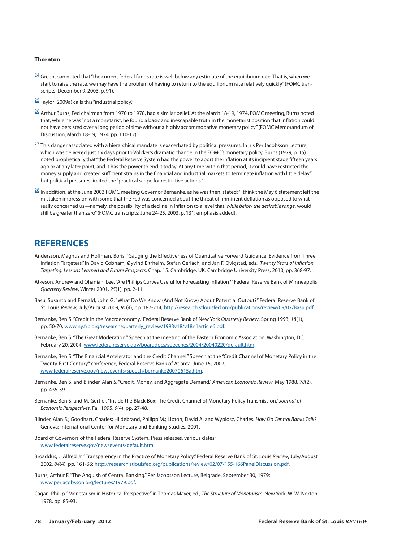- <span id="page-13-0"></span> $24$  Greenspan noted that "the current federal funds rate is well below any estimate of the equilibrium rate. That is, when we start to raise the rate, we may have the problem of having to return to the equilibrium rate relatively quickly"(FOMC transcripts; December 9, 2003, p. 91).
- <sup>[25](#page-10-0)</sup> Taylor (2009a) calls this "industrial policy."
- $\frac{26}{1}$  $\frac{26}{1}$  $\frac{26}{1}$  Arthur Burns, Fed chairman from 1970 to 1978, had a similar belief. At the March 18-19, 1974, FOMC meeting, Burns noted that, while he was"not a monetarist, he found a basic and inescapable truth in the monetarist position that inflation could not have persisted over a long period of time without a highly accommodative monetary policy"(FOMC Memorandum of Discussion, March 18-19, 1974, pp. 110-12).
- $27$  This danger associated with a hierarchical mandate is exacerbated by political pressures. In his Per Jacobsson Lecture, which was delivered just six days prior to Volcker's dramatic change in the FOMC's monetary policy, Burns (1979, p. 15) noted prophetically that "the Federal Reserve System had the power to abort the inflation at its incipient stage fifteen years ago or at any later point, and it has the power to end it today. At any time within that period, it could have restricted the money supply and created sufficient strains in the financial and industrial markets to terminate inflation with little delay" but political pressures limited the "practical scope for restrictive actions."
- $\frac{28}{1}$  $\frac{28}{1}$  $\frac{28}{1}$  In addition, at the June 2003 FOMC meeting Governor Bernanke, as he was then, stated: "I think the May 6 statement left the mistaken impression with some that the Fed was concerned about the threat of imminent deflation as opposed to what really concerned us—namely, the possibility of a decline in inflation to a level that, *while below the desirable range*, would still be greater than zero"(FOMC transcripts; June 24-25, 2003, p. 131; emphasis added).

# **REFERENCES**

- Andersson, Magnus and Hoffman, Boris."Gauging the Effectiveness of Quantitative Forward Guidance: Evidence from Three Inflation Targeters,"in David Cobham, Øyvind Eitrheim, Stefan Gerlach, and Jan F. Qvigstad, eds., *Twenty Years of Inflation Targeting: Lessons Learned and Future Prospects*. Chap. 15. Cambridge, UK: Cambridge University Press, 2010, pp. 368-97.
- Atkeson, Andrew and Ohanian, Lee."Are Phillips Curves Useful for Forecasting Inflation?" Federal Reserve Bank of Minneapolis *Quarterly Review*, Winter 2001, *25*(1), pp. 2-11.
- Basu, Susanto and Fernald, John G."What Do We Know (And Not Know) About Potential Output?" Federal Reserve Bank of St. Louis *Review*, July/August 2009, *91*(4), pp. 187-214; http://research.stlouisfed.org/publications/review/09/07/Basu.pdf.
- Bernanke, Ben S."Credit in the Macroeconomy." Federal Reserve Bank of New York *Quarterly Review*, Spring 1993, *18*(1), pp. 50-70; www.ny.frb.org/research/quarterly\_review/1993v18/v18n1article6.pdf.
- Bernanke, Ben S."The Great Moderation." Speech at the meeting of the Eastern Economic Association, Washington, DC, February 20, 2004; www.federalreserve.gov/boarddocs/speeches/2004/20040220/default.htm.
- Bernanke, Ben S."The Financial Accelerator and the Credit Channel." Speech at the "Credit Channel of Monetary Policy in the Twenty-First Century" conference, Federal Reserve Bank of Atlanta, June 15, 2007; www.federalreserve.gov/newsevents/speech/bernanke20070615a.htm.
- Bernanke, Ben S. and Blinder, Alan S."Credit, Money, and Aggregate Demand." *American Economic Review*, May 1988, *78*(2), pp. 435-39.
- Bernanke, Ben S. and M. Gertler."Inside the Black Box: The Credit Channel of Monetary Policy Transmission."*Journal of Economic Perspectives*, Fall 1995, *9*(4), pp. 27-48.
- Blinder, Alan S.; Goodhart, Charles; Hildebrand, Philipp M.; Lipton, David A. and Wyplosz, Charles. *How Do Central Banks Talk?* Geneva: International Center for Monetary and Banking Studies, 2001.
- Board of Governors of the Federal Reserve System. Press releases, various dates; www.federalreserve.gov/newsevents/default.htm.
- Broaddus, J. Alfred Jr."Transparency in the Practice of Monetary Policy." Federal Reserve Bank of St. Louis *Review*, July/August 2002, *84*(4), pp. 161-66; http://research.stlouisfed.org/publications/review/02/07/155-166PanelDiscussion.pdf.
- Burns, Arthur F."The Anguish of Central Banking." Per Jacobsson Lecture, Belgrade, September 30, 1979; www.perjacobsson.org/lectures/1979.pdf.
- Cagan, Phillip."Monetarism in Historical Perspective,"in Thomas Mayer, ed., *The Structure of Monetarism*. New York: W. W. Norton, 1978, pp. 85-93.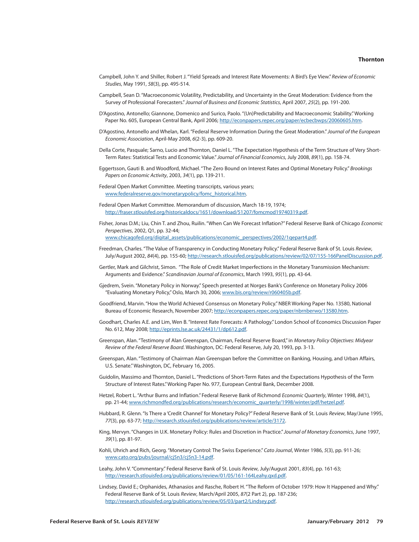- Campbell, John Y. and Shiller, Robert J."Yield Spreads and Interest Rate Movements: A Bird's Eye View." *Review of Economic Studies*, May 1991, *58*(3), pp. 495-514.
- Campbell, Sean D."Macroeconomic Volatility, Predictability, and Uncertainty in the Great Moderation: Evidence from the Survey of Professional Forecasters."*Journal of Business and Economic Statistics*, April 2007, *25*(2), pp. 191-200.
- D'Agostino, Antonello; Giannone, Domenico and Surico, Paolo."(Un)Predictability and Macroeconomic Stability."Working Paper No. 605, European Central Bank, April 2006; http://econpapers.repec.org/paper/ecbecbwps/20060605.htm.
- D'Agostino, Antonello and Whelan, Karl."Federal Reserve Information During the Great Moderation."*Journal of the European Economic Association*, April-May 2008, *6*(2-3), pp. 609-20.
- Della Corte, Pasquale; Sarno, Lucio and Thornton, Daniel L."The Expectation Hypothesis of the Term Structure of Very Short-Term Rates: Statistical Tests and Economic Value."*Journal of Financial Economics*, July 2008, *89*(1), pp. 158-74.
- Eggertsson, Gauti B. and Woodford, Michael."The Zero Bound on Interest Rates and Optimal Monetary Policy." *Brookings Papers on Economic Activity*, 2003, *34*(1), pp. 139-211.
- Federal Open Market Committee. Meeting transcripts, various years; www.federalreserve.gov/monetarypolicy/fomc\_historical.htm.
- Federal Open Market Committee. Memorandum of discussion, March 18-19, 1974; http://fraser.stlouisfed.org/historicaldocs/1651/download/51207/fomcmod19740319.pdf.
- Fisher, Jonas D.M.; Liu, Chin T. and Zhou, Ruilin."When Can We Forecast Inflation?" Federal Reserve Bank of Chicago *Economic Perspectives*, 2002, Q1, pp. 32-44; www.chicagofed.org/digital\_assets/publications/economic\_perspectives/2002/1qepart4.pdf.
- Freedman, Charles."The Value of Transparency in Conducting Monetary Policy." Federal Reserve Bank of St. Louis *Review*, July/August 2002, *84*(4), pp. 155-60; http://research.stlouisfed.org/publications/review/02/07/155-166PanelDiscussion.pdf.
- Gertler, Mark and Gilchrist, Simon. "The Role of Credit Market Imperfections in the Monetary Transmission Mechanism: Arguments and Evidence." *Scandinavian Journal of Economics*, March 1993, *95*(1), pp. 43-64.
- Gjedrem, Svein."Monetary Policy in Norway." Speech presented at Norges Bank's Conference on Monetary Policy 2006 "Evaluating Monetary Policy,"Oslo, March 30, 2006; www.bis.org/review/r060405b.pdf.
- Goodfriend, Marvin."How the World Achieved Consensus on Monetary Policy."NBER Working Paper No. 13580, National Bureau of Economic Research, November 2007; http://econpapers.repec.org/paper/nbrnberwo/13580.htm.
- Goodhart, Charles A.E. and Lim, Wen B."Interest Rate Forecasts: A Pathology." London School of Economics Discussion Paper No. 612, May 2008; http://eprints.lse.ac.uk/24431/1/dp612.pdf.
- Greenspan, Alan."Testimony of Alan Greenspan, Chairman, Federal Reserve Board,"in *Monetary Policy Objectives: Midyear Review of the Federal Reserve Board*. Washington, DC: Federal Reserve, July 20, 1993, pp. 3-13.
- Greenspan, Alan."Testimony of Chairman Alan Greenspan before the Committee on Banking, Housing, and Urban Affairs, U.S. Senate."Washington, DC, February 16, 2005.
- Guidolin, Massimo and Thornton, Daniel L."Predictions of Short-Term Rates and the Expectations Hypothesis of the Term Structure of Interest Rates."Working Paper No. 977, European Central Bank, December 2008.
- Hetzel, Robert L."Arthur Burns and Inflation." Federal Reserve Bank of Richmond *Economic Quarterly*, Winter 1998, *84*(1), pp. 21-44; www.richmondfed.org/publications/research/economic\_quarterly/1998/winter/pdf/hetzel.pdf.
- Hubbard, R. Glenn."Is There a 'Credit Channel' for Monetary Policy?" Federal Reserve Bank of St. Louis *Review*, May/June 1995, *77*(3), pp. 63-77; http://research.stlouisfed.org/publications/review/article/3172.
- King, Mervyn."Changes in U.K. Monetary Policy: Rules and Discretion in Practice."*Journal of Monetary Economics*, June 1997, *39*(1), pp. 81-97.
- Kohli, Uhrich and Rich, Georg."Monetary Control: The Swiss Experience." *Cato Journal*, Winter 1986, *5*(3), pp. 911-26; www.cato.org/pubs/journal/cj5n3/cj5n3-14.pdf.
- Leahy, John V."Commentary." Federal Reserve Bank of St. Louis *Review*, July/August 2001, *83*(4), pp. 161-63; http://research.stlouisfed.org/publications/review/01/05/161-164Leahy.qxd.pdf.
- Lindsey, David E.; Orphanides, Athanasios and Rasche, Robert H."The Reform of October 1979: How It Happened and Why." Federal Reserve Bank of St. Louis *Review*, March/April 2005, *87*(2 Part 2), pp. 187-236; http://research.stlouisfed.org/publications/review/05/03/part2/Lindsey.pdf.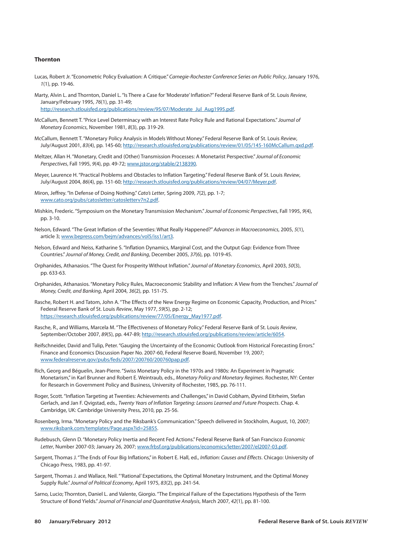- Lucas, Robert Jr."Econometric Policy Evaluation: A Critique."*Carnegie-Rochester Conference Series on Public Policy*, January 1976, *1*(1), pp. 19-46.
- Marty, Alvin L. and Thornton, Daniel L."Is There a Case for'Moderate' Inflation?" Federal Reserve Bank of St. Louis *Review*, January/February 1995, *76*(1), pp. 31-49; http://research.stlouisfed.org/publications/review/95/07/Moderate\_Jul\_Aug1995.pdf.
- McCallum, Bennett T."Price Level Determinacy with an Interest Rate Policy Rule and Rational Expectations."*Journal of Monetary Economics*, November 1981, *8*(3), pp. 319-29.
- McCallum, Bennett T."Monetary Policy Analysis in Models Without Money." Federal Reserve Bank of St. Louis *Review*, July/August 2001, *83*(4), pp. 145-60; http://research.stlouisfed.org/publications/review/01/05/145-160McCallum.qxd.pdf.
- Meltzer, Allan H."Monetary, Credit and (Other) Transmission Processes: A Monetarist Perspective."*Journal of Economic Perspectives*, Fall 1995, *9*(4), pp. 49-72; www.jstor.org/stable/2138390.
- Meyer, Laurence H."Practical Problems and Obstacles to Inflation Targeting." Federal Reserve Bank of St. Louis *Review*, July/August 2004, *86*(4), pp. 151-60; http://research.stlouisfed.org/publications/review/04/07/Meyer.pdf.
- Miron, Jeffrey."In Defense of Doing Nothing." *Cato's Letter*, Spring 2009, *7*(2), pp. 1-7; www.cato.org/pubs/catosletter/catosletterv7n2.pdf.
- Mishkin, Frederic."Symposium on the Monetary Transmission Mechanism."*Journal of Economic Perspectives*, Fall 1995, *9*(4), pp. 3-10.
- Nelson, Edward."The Great Inflation of the Seventies: What Really Happened?" *Advances in Macroeconomics*, 2005, *5*(1), article 3; www.bepress.com/bejm/advances/vol5/iss1/art3.
- Nelson, Edward and Neiss, Katharine S."Inflation Dynamics, Marginal Cost, and the Output Gap: Evidence from Three Countries."*Journal of Money, Credit, and Banking*, December 2005, *37*(6), pp. 1019-45.
- Orphanides, Athanasios."The Quest for Prosperity Without Inflation."*Journal of Monetary Economics*, April 2003, *50*(3), pp. 633-63.
- Orphanides, Athanasios."Monetary Policy Rules, Macroeconomic Stability and Inflation: A View from the Trenches."*Journal of Money, Credit, and Banking*, April 2004, *36*(2), pp. 151-75.
- Rasche, Robert H. and Tatom, John A."The Effects of the New Energy Regime on Economic Capacity, Production, and Prices." Federal Reserve Bank of St. Louis *Review*, May 1977, *59*(5), pp. 2-12; https://research.stlouisfed.org/publications/review/77/05/Energy\_May1977.pdf.
- Rasche, R., and Williams, Marcela M."The Effectiveness of Monetary Policy." Federal Reserve Bank of St. Louis *Review*, September/October 2007, *89*(5), pp. 447-89; http://research.stlouisfed.org/publications/review/article/6054.
- Reifschneider, David and Tulip, Peter."Gauging the Uncertainty of the Economic Outlook from Historical Forecasting Errors." Finance and Economics Discussion Paper No. 2007-60, Federal Reserve Board, November 19, 2007; www.federalreserve.gov/pubs/feds/2007/200760/200760pap.pdf.
- Rich, Georg and Béguelin, Jean-Pierre."Swiss Monetary Policy in the 1970s and 1980s: An Experiment in Pragmatic Monetarism,"in Karl Brunner and Robert E. Weintraub, eds., *Monetary Policy and Monetary Regimes*. Rochester, NY: Center for Research in Government Policy and Business, University of Rochester, 1985, pp. 76-111.
- Roger, Scott."Inflation Targeting at Twenties: Achievements and Challenges,"in David Cobham, Øyvind Eitrheim, Stefan Gerlach, and Jan F. Qvigstad, eds., *Twenty Years of Inflation Targeting: Lessons Learned and Future Prospects*. Chap. 4. Cambridge, UK: Cambridge University Press, 2010, pp. 25-56.
- Rosenberg, Irma."Monetary Policy and the Riksbank's Communication." Speech delivered in Stockholm, August, 10, 2007; www.riksbank.com/templates/Page.aspx?id=25855.
- Rudebusch, Glenn D."Monetary Policy Inertia and Recent Fed Actions." Federal Reserve Bank of San Francisco *Economic Letter*, Number 2007-03; January 26, 2007; www.frbsf.org/publications/economics/letter/2007/el2007-03.pdf.
- Sargent, Thomas J."The Ends of Four Big Inflations,"in Robert E. Hall, ed., *Inflation: Causes and Effects*. Chicago: University of Chicago Press, 1983, pp. 41-97.
- Sargent, Thomas J. and Wallace, Neil."'Rational' Expectations, the Optimal Monetary Instrument, and the Optimal Money Supply Rule."*Journal of Political Economy*, April 1975, *83*(2), pp. 241-54.
- Sarno, Lucio; Thornton, Daniel L. and Valente, Giorgio."The Empirical Failure of the Expectations Hypothesis of the Term Structure of Bond Yields."*Journal of Financial and Quantitative Analysis*, March 2007, *42*(1), pp. 81-100.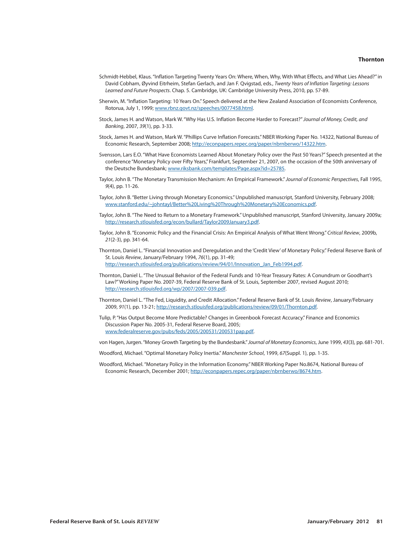- Schmidt-Hebbel, Klaus."Inflation Targeting Twenty Years On: Where, When, Why, With What Effects, and What Lies Ahead?"in David Cobham, Øyvind Eitrheim, Stefan Gerlach, and Jan F. Qvigstad, eds., *Twenty Years of Inflation Targeting: Lessons Learned and Future Prospects*. Chap. 5. Cambridge, UK: Cambridge University Press, 2010, pp. 57-89.
- Sherwin, M."Inflation Targeting: 10 Years On." Speech delivered at the New Zealand Association of Economists Conference, Rotorua, July 1, 1999; www.rbnz.govt.nz/speeches/0077458.html.
- Stock, James H. and Watson, Mark W."Why Has U.S. Inflation Become Harder to Forecast?"*Journal of Money, Credit, and Banking*, 2007, *39*(1), pp. 3-33.
- Stock, James H. and Watson, Mark W."Phillips Curve Inflation Forecasts."NBER Working Paper No. 14322, National Bureau of Economic Research, September 2008; http://econpapers.repec.org/paper/nbrnberwo/14322.htm.
- Svensson, Lars E.O."What Have Economists Learned About Monetary Policy over the Past 50 Years?" Speech presented at the conference "Monetary Policy over Fifty Years," Frankfurt, September 21, 2007, on the occasion of the 50th anniversary of the Deutsche Bundesbank; www.riksbank.com/templates/Page.aspx?id=25785.
- Taylor, John B."The Monetary Transmission Mechanism: An Empirical Framework."*Journal of Economic Perspectives*, Fall 1995, *9*(4), pp. 11-26.
- Taylor, John B."Better Living through Monetary Economics."Unpublished manuscript, Stanford University, February 2008; www.stanford.edu/~johntayl/Better%20Living%20Through%20Monetary%20Economics.pdf.
- Taylor, John B."The Need to Return to a Monetary Framework."Unpublished manuscript, Stanford University, January 2009a; http://research.stlouisfed.org/econ/bullard/Taylor2009January3.pdf.
- Taylor, John B."Economic Policy and the Financial Crisis: An Empirical Analysis of What Went Wrong." *Critical Review*, 2009b, *21*(2-3), pp. 341-64.
- Thornton, Daniel L."Financial Innovation and Deregulation and the 'Credit View' of Monetary Policy." Federal Reserve Bank of St. Louis *Review*, January/February 1994, *76*(1), pp. 31-49; http://research.stlouisfed.org/publications/review/94/01/Innovation\_Jan\_Feb1994.pdf.
- Thornton, Daniel L."The Unusual Behavior of the Federal Funds and 10-Year Treasury Rates: A Conundrum or Goodhart's Law?"Working Paper No. 2007-39, Federal Reserve Bank of St. Louis, September 2007, revised August 2010; http://research.stlouisfed.org/wp/2007/2007-039.pdf.
- Thornton, Daniel L."The Fed, Liquidity, and Credit Allocation." Federal Reserve Bank of St. Louis *Review*, January/February 2009, *91*(1), pp. 13-21; http://research.stlouisfed.org/publications/review/09/01/Thornton.pdf.
- Tulip, P."Has Output Become More Predictable? Changes in Greenbook Forecast Accuracy." Finance and Economics Discussion Paper No. 2005-31, Federal Reserve Board, 2005; www.federalreserve.gov/pubs/feds/2005/200531/200531pap.pdf.

von Hagen, Jurgen."Money Growth Targeting by the Bundesbank."*Journal of Monetary Economics*, June 1999, *43*(3), pp. 681-701.

- Woodford, Michael."Optimal Monetary Policy Inertia."*Manchester School*, 1999, *67*(Suppl. 1), pp. 1-35.
- Woodford, Michael."Monetary Policy in the Information Economy."NBER Working Paper No.8674, National Bureau of Economic Research, December 2001; http://econpapers.repec.org/paper/nbrnberwo/8674.htm.